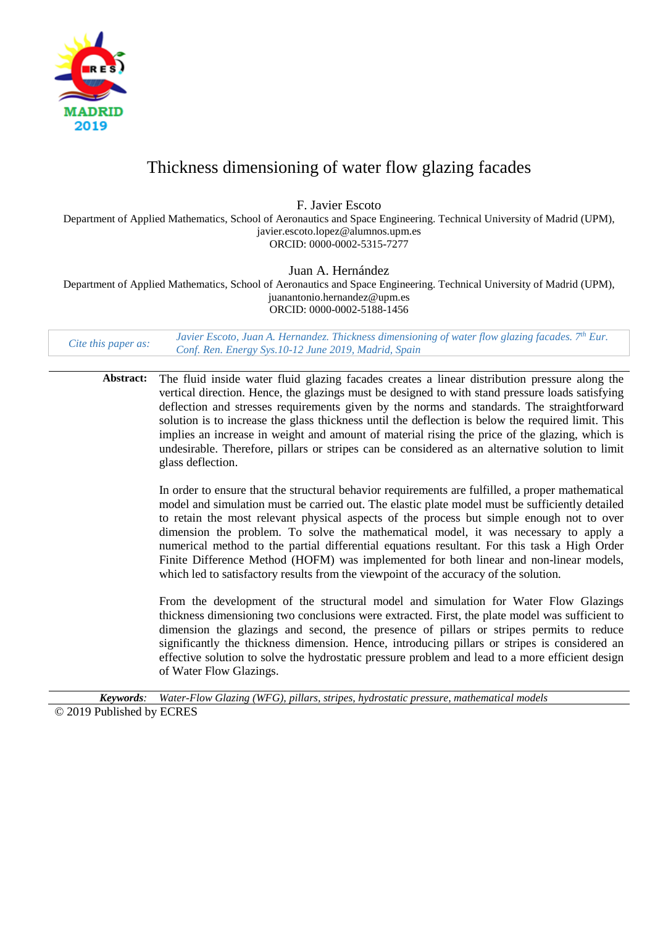

# Thickness dimensioning of water flow glazing facades

F. Javier Escoto

Department of Applied Mathematics, School of Aeronautics and Space Engineering. Technical University of Madrid (UPM), javier.escoto.lopez@alumnos.upm.es ORCID: 0000-0002-5315-7277

Juan A. Hernández

Department of Applied Mathematics, School of Aeronautics and Space Engineering. Technical University of Madrid (UPM), juanantonio.hernandez@upm.es ORCID: 0000-0002-5188-1456

*Cite this paper as: Javier Escoto, Juan A. Hernandez. Thickness dimensioning of water flow glazing facades.*  $7<sup>th</sup>$  *Eur.*  $6<sup>th</sup>$  *Comparent*  $6<sup>th</sup>$  *Eur.*  $2010$  *M<sub>p</sub> Lip S<sub>in</sub> Comparent*  $\frac{10}{2010$ *Conf. Ren. Energy Sys.10-12 June 2019, Madrid, Spain*

**Abstract:** The fluid inside water fluid glazing facades creates a linear distribution pressure along the vertical direction. Hence, the glazings must be designed to with stand pressure loads satisfying deflection and stresses requirements given by the norms and standards. The straightforward solution is to increase the glass thickness until the deflection is below the required limit. This implies an increase in weight and amount of material rising the price of the glazing, which is undesirable. Therefore, pillars or stripes can be considered as an alternative solution to limit glass deflection.

> In order to ensure that the structural behavior requirements are fulfilled, a proper mathematical model and simulation must be carried out. The elastic plate model must be sufficiently detailed to retain the most relevant physical aspects of the process but simple enough not to over dimension the problem. To solve the mathematical model, it was necessary to apply a numerical method to the partial differential equations resultant. For this task a High Order Finite Difference Method (HOFM) was implemented for both linear and non-linear models, which led to satisfactory results from the viewpoint of the accuracy of the solution.

> From the development of the structural model and simulation for Water Flow Glazings thickness dimensioning two conclusions were extracted. First, the plate model was sufficient to dimension the glazings and second, the presence of pillars or stripes permits to reduce significantly the thickness dimension. Hence, introducing pillars or stripes is considered an effective solution to solve the hydrostatic pressure problem and lead to a more efficient design of Water Flow Glazings.

*Keywords: Water-Flow Glazing (WFG), pillars, stripes, hydrostatic pressure, mathematical models* © 2019 Published by ECRES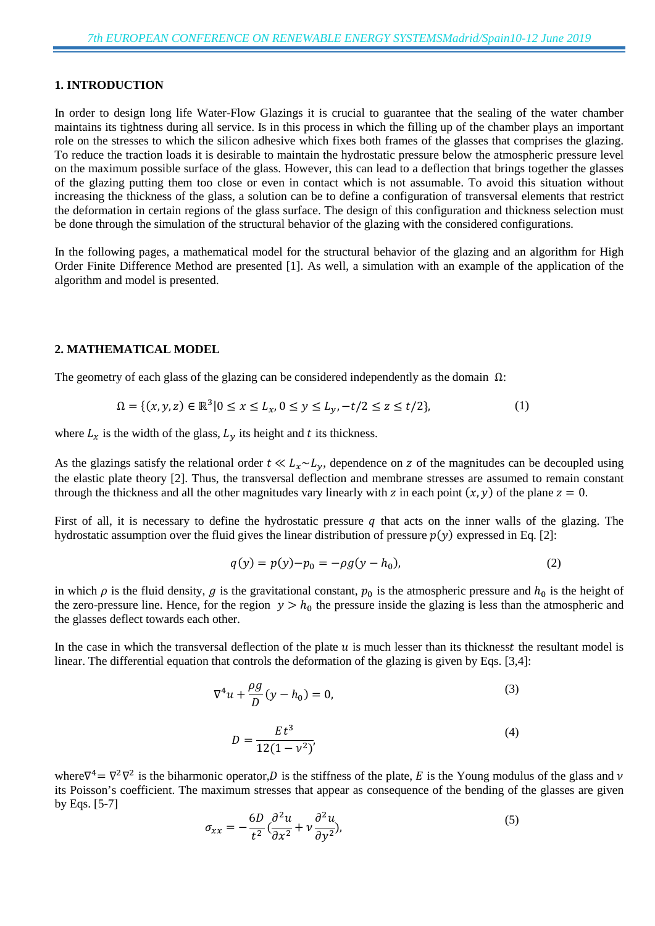## **1. INTRODUCTION**

In order to design long life Water-Flow Glazings it is crucial to guarantee that the sealing of the water chamber maintains its tightness during all service. Is in this process in which the filling up of the chamber plays an important role on the stresses to which the silicon adhesive which fixes both frames of the glasses that comprises the glazing. To reduce the traction loads it is desirable to maintain the hydrostatic pressure below the atmospheric pressure level on the maximum possible surface of the glass. However, this can lead to a deflection that brings together the glasses of the glazing putting them too close or even in contact which is not assumable. To avoid this situation without increasing the thickness of the glass, a solution can be to define a configuration of transversal elements that restrict the deformation in certain regions of the glass surface. The design of this configuration and thickness selection must be done through the simulation of the structural behavior of the glazing with the considered configurations.

In the following pages, a mathematical model for the structural behavior of the glazing and an algorithm for High Order Finite Difference Method are presented [1]. As well, a simulation with an example of the application of the algorithm and model is presented.

### **2. MATHEMATICAL MODEL**

The geometry of each glass of the glazing can be considered independently as the domain  $\Omega$ :

$$
\Omega = \{ (x, y, z) \in \mathbb{R}^3 | 0 \le x \le L_x, 0 \le y \le L_y, -t/2 \le z \le t/2 \},\tag{1}
$$

where  $L_x$  is the width of the glass,  $L_y$  its height and t its thickness.

As the glazings satisfy the relational order  $t \ll L_x \sim L_y$ , dependence on z of the magnitudes can be decoupled using the elastic plate theory [2]. Thus, the transversal deflection and membrane stresses are assumed to remain constant through the thickness and all the other magnitudes vary linearly with z in each point  $(x, y)$  of the plane  $z = 0$ .

First of all, it is necessary to define the hydrostatic pressure q that acts on the inner walls of the glazing. The hydrostatic assumption over the fluid gives the linear distribution of pressure  $p(y)$  expressed in Eq. [2]:

$$
q(y) = p(y) - p_0 = -\rho g(y - h_0),
$$
\n(2)

in which  $\rho$  is the fluid density,  $g$  is the gravitational constant,  $p_0$  is the atmospheric pressure and  $h_0$  is the height of the zero-pressure line. Hence, for the region  $y > h_0$  the pressure inside the glazing is less than the atmospheric and the glasses deflect towards each other.

In the case in which the transversal deflection of the plate  $u$  is much lesser than its thickness the resultant model is linear. The differential equation that controls the deformation of the glazing is given by Eqs. [3,4]:

$$
\nabla^4 u + \frac{\rho g}{D} (y - h_0) = 0, \tag{3}
$$

$$
D = \frac{Et^3}{12(1 - v^2)}
$$
\n(4)

where  $\nabla^4 = \nabla^2 \nabla^2$  is the biharmonic operator, *D* is the stiffness of the plate, *E* is the Young modulus of the glass and *v* its Poisson's coefficient. The maximum stresses that appear as consequence of the bending of the glasses are given by Eqs. [5-7]

$$
\sigma_{xx} = -\frac{6D}{t^2} \left( \frac{\partial^2 u}{\partial x^2} + v \frac{\partial^2 u}{\partial y^2} \right),\tag{5}
$$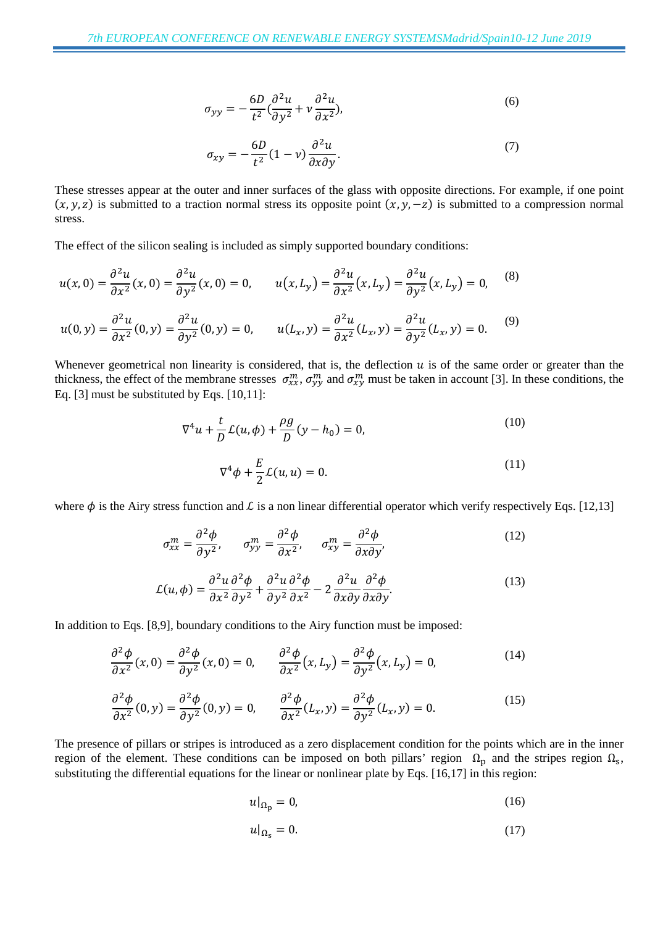$$
\sigma_{yy} = -\frac{6D}{t^2} \left( \frac{\partial^2 u}{\partial y^2} + v \frac{\partial^2 u}{\partial x^2} \right),\tag{6}
$$

$$
\sigma_{xy} = -\frac{6D}{t^2}(1-\nu)\frac{\partial^2 u}{\partial x \partial y}.
$$
\n(7)

These stresses appear at the outer and inner surfaces of the glass with opposite directions. For example, if one point  $(x, y, z)$  is submitted to a traction normal stress its opposite point  $(x, y, -z)$  is submitted to a compression normal stress.

The effect of the silicon sealing is included as simply supported boundary conditions:

$$
u(x,0) = \frac{\partial^2 u}{\partial x^2}(x,0) = \frac{\partial^2 u}{\partial y^2}(x,0) = 0, \qquad u(x,L_y) = \frac{\partial^2 u}{\partial x^2}(x,L_y) = \frac{\partial^2 u}{\partial y^2}(x,L_y) = 0, \qquad (8)
$$

$$
u(0,y) = \frac{\partial^2 u}{\partial x^2}(0,y) = \frac{\partial^2 u}{\partial y^2}(0,y) = 0, \qquad u(L_x,y) = \frac{\partial^2 u}{\partial x^2}(L_x,y) = \frac{\partial^2 u}{\partial y^2}(L_x,y) = 0. \qquad (9)
$$

Whenever geometrical non linearity is considered, that is, the deflection  $u$  is of the same order or greater than the thickness, the effect of the membrane stresses  $\sigma_{xx}^m$ ,  $\sigma_{yy}^m$  and  $\sigma_{xy}^m$  must be taken in account [3]. In these conditions, the Eq. [3] must be substituted by Eqs. [10,11]:

$$
\nabla^4 u + \frac{t}{D} \mathcal{L}(u, \phi) + \frac{\rho g}{D} (y - h_0) = 0,
$$
\n(10)

$$
\nabla^4 \phi + \frac{E}{2} \mathcal{L}(u, u) = 0. \tag{11}
$$

where  $\phi$  is the Airy stress function and L is a non linear differential operator which verify respectively Eqs. [12,13]

$$
\sigma_{xx}^m = \frac{\partial^2 \phi}{\partial y^2}, \qquad \sigma_{yy}^m = \frac{\partial^2 \phi}{\partial x^2}, \qquad \sigma_{xy}^m = \frac{\partial^2 \phi}{\partial x \partial y}, \tag{12}
$$

$$
\mathcal{L}(u,\phi) = \frac{\partial^2 u}{\partial x^2} \frac{\partial^2 \phi}{\partial y^2} + \frac{\partial^2 u}{\partial y^2} \frac{\partial^2 \phi}{\partial x^2} - 2 \frac{\partial^2 u}{\partial x \partial y} \frac{\partial^2 \phi}{\partial x \partial y}.
$$
(13)

In addition to Eqs. [8,9], boundary conditions to the Airy function must be imposed:

$$
\frac{\partial^2 \phi}{\partial x^2}(x,0) = \frac{\partial^2 \phi}{\partial y^2}(x,0) = 0, \qquad \frac{\partial^2 \phi}{\partial x^2}(x,L_y) = \frac{\partial^2 \phi}{\partial y^2}(x,L_y) = 0,
$$
\n(14)

$$
\frac{\partial^2 \phi}{\partial x^2}(0, y) = \frac{\partial^2 \phi}{\partial y^2}(0, y) = 0, \qquad \frac{\partial^2 \phi}{\partial x^2}(L_x, y) = \frac{\partial^2 \phi}{\partial y^2}(L_x, y) = 0.
$$
\n(15)

The presence of pillars or stripes is introduced as a zero displacement condition for the points which are in the inner region of the element. These conditions can be imposed on both pillars' region  $\Omega_p$  and the stripes region  $\Omega_s$ , substituting the differential equations for the linear or nonlinear plate by Eqs. [16,17] in this region:

$$
u|_{\Omega_{\mathbf{p}}} = 0,\tag{16}
$$

$$
u|_{\Omega_{\rm S}} = 0.\tag{17}
$$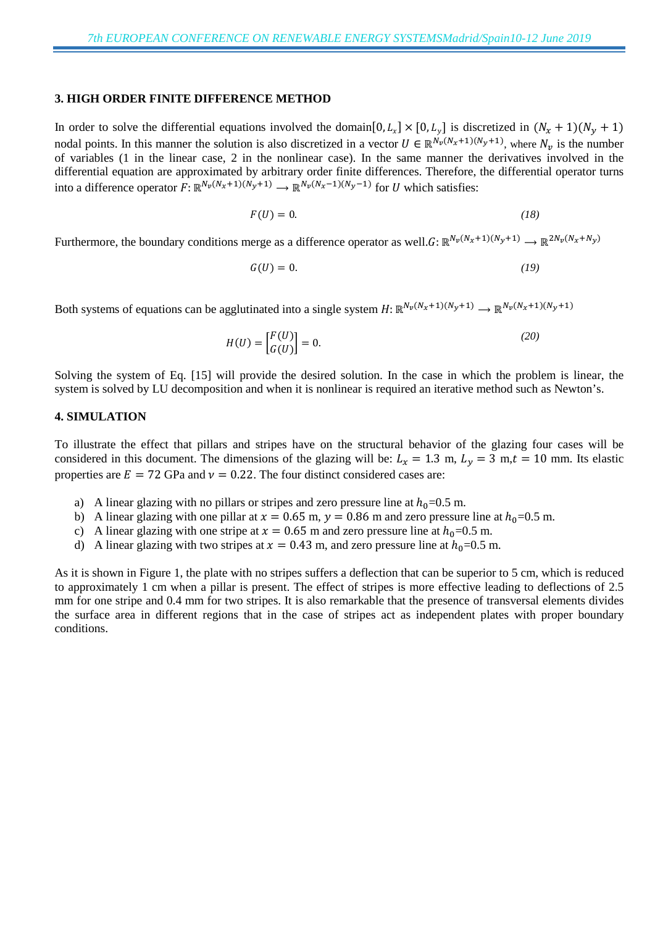#### **3. HIGH ORDER FINITE DIFFERENCE METHOD**

In order to solve the differential equations involved the domain[0,  $L_x$ ] × [0,  $L_v$ ] is discretized in  $(N_x + 1)(N_y + 1)$ nodal points. In this manner the solution is also discretized in a vector  $U \in \mathbb{R}^{N_v(N_x+1)(N_y+1)}$ , where  $N_v$  is the number of variables (1 in the linear case, 2 in the nonlinear case). In the same manner the derivatives involved in the differential equation are approximated by arbitrary order finite differences. Therefore, the differential operator turns into a difference operator  $\widehat{F}: \mathbb{R}^{N_v(N_x+1)(N_y+1)} \longrightarrow \mathbb{R}^{N_v(N_x-1)(N_y-1)}$  for U which satisfies:

$$
F(U) = 0.\t\t(18)
$$

Furthermore, the boundary conditions merge as a difference operator as well. $G: \mathbb{R}^{N_v(N_x+1)(N_y+1)} \to \mathbb{R}^{2N_v(N_x+N_y)}$ 

$$
G(U) = 0.\t\t(19)
$$

Both systems of equations can be agglutinated into a single system  $H: \mathbb{R}^{N_v(N_x+1)(N_y+1)} \to \mathbb{R}^{N_v(N_x+1)(N_y+1)}$ 

$$
H(U) = \begin{bmatrix} F(U) \\ G(U) \end{bmatrix} = 0.
$$
\n(20)

Solving the system of Eq. [15] will provide the desired solution. In the case in which the problem is linear, the system is solved by LU decomposition and when it is nonlinear is required an iterative method such as Newton's.

## **4. SIMULATION**

To illustrate the effect that pillars and stripes have on the structural behavior of the glazing four cases will be considered in this document. The dimensions of the glazing will be:  $L_x = 1.3$  m,  $L_y = 3$  m,  $t = 10$  mm. Its elastic properties are  $E = 72$  GPa and  $v = 0.22$ . The four distinct considered cases are:

- a) A linear glazing with no pillars or stripes and zero pressure line at  $h_0=0.5$  m.
- b) A linear glazing with one pillar at  $x = 0.65$  m,  $y = 0.86$  m and zero pressure line at  $h_0 = 0.5$  m.
- c) A linear glazing with one stripe at  $x = 0.65$  m and zero pressure line at  $h_0 = 0.5$  m.
- d) A linear glazing with two stripes at  $x = 0.43$  m, and zero pressure line at  $h_0 = 0.5$  m.

As it is shown in Figure 1, the plate with no stripes suffers a deflection that can be superior to 5 cm, which is reduced to approximately 1 cm when a pillar is present. The effect of stripes is more effective leading to deflections of 2.5 mm for one stripe and 0.4 mm for two stripes. It is also remarkable that the presence of transversal elements divides the surface area in different regions that in the case of stripes act as independent plates with proper boundary conditions.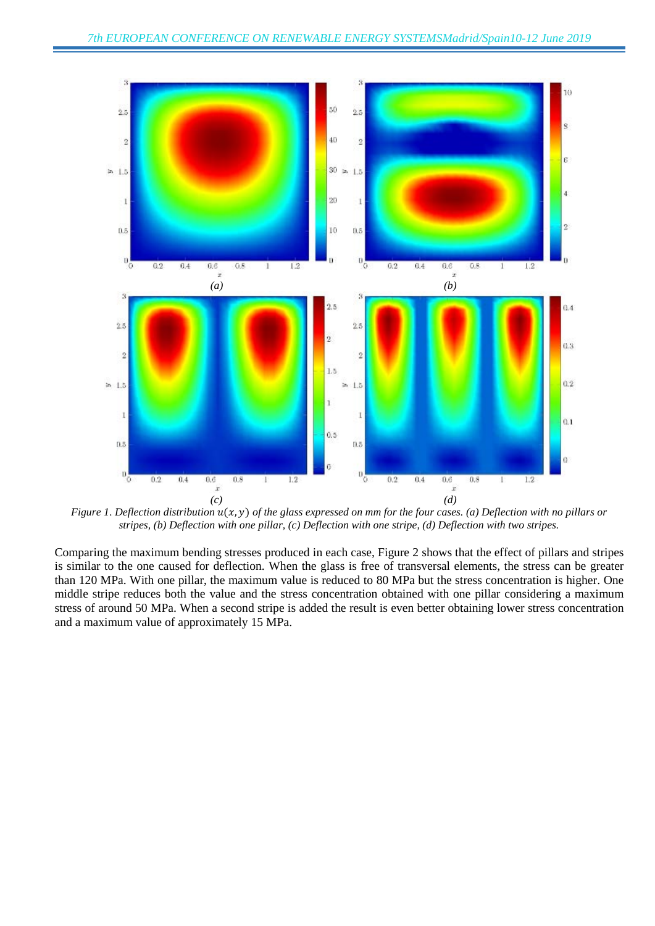

*Figure 1. Deflection distribution*  $u(x, y)$  *of the glass expressed on mm for the four cases. (a) Deflection with no pillars or stripes, (b) Deflection with one pillar, (c) Deflection with one stripe, (d) Deflection with two stripes.*

Comparing the maximum bending stresses produced in each case, Figure 2 shows that the effect of pillars and stripes is similar to the one caused for deflection. When the glass is free of transversal elements, the stress can be greater than 120 MPa. With one pillar, the maximum value is reduced to 80 MPa but the stress concentration is higher. One middle stripe reduces both the value and the stress concentration obtained with one pillar considering a maximum stress of around 50 MPa. When a second stripe is added the result is even better obtaining lower stress concentration and a maximum value of approximately 15 MPa.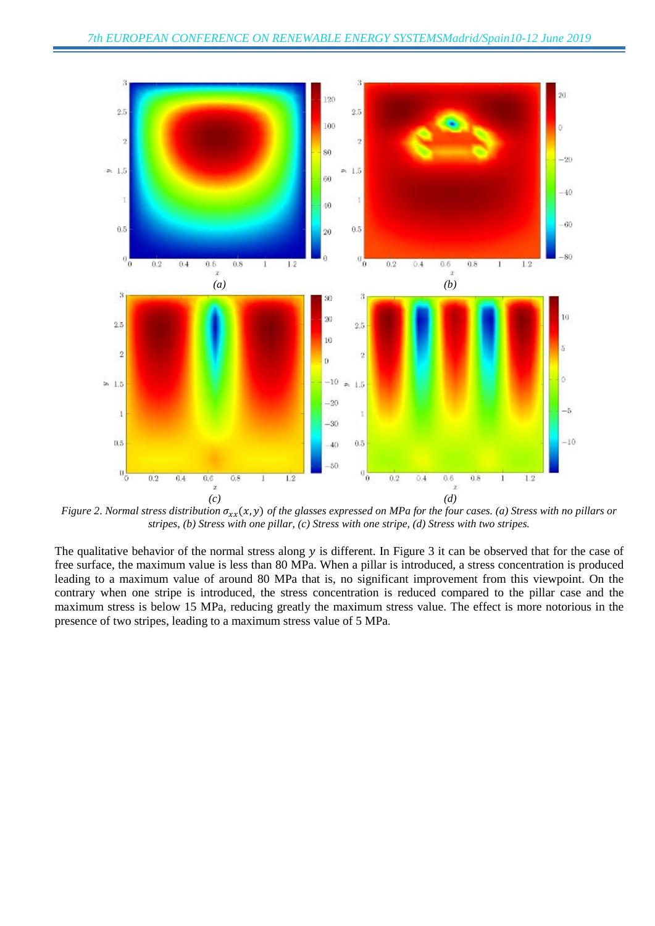

*Figure 2. Normal stress distribution*  $\sigma_{xx}(x, y)$  *of the glasses expressed on MPa for the four cases.* (a) *Stress with no pillars or stripes, (b) Stress with one pillar, (c) Stress with one stripe, (d) Stress with two stripes.*

The qualitative behavior of the normal stress along  $y$  is different. In Figure 3 it can be observed that for the case of free surface, the maximum value is less than 80 MPa. When a pillar is introduced, a stress concentration is produced leading to a maximum value of around 80 MPa that is, no significant improvement from this viewpoint. On the contrary when one stripe is introduced, the stress concentration is reduced compared to the pillar case and the maximum stress is below 15 MPa, reducing greatly the maximum stress value. The effect is more notorious in the presence of two stripes, leading to a maximum stress value of 5 MPa.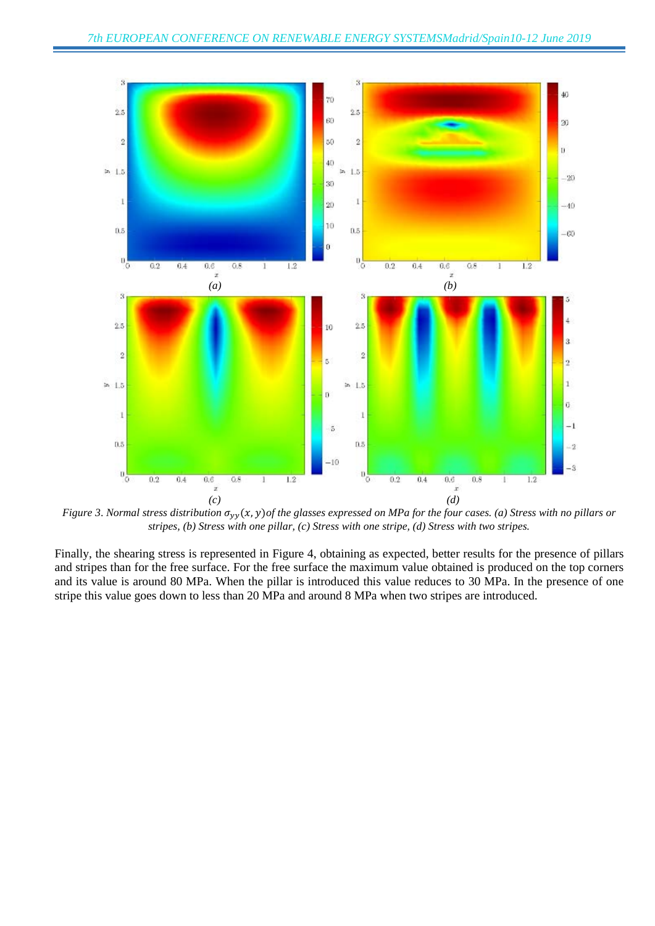

*Figure 3. Normal stress distribution*  $\sigma_{yy}(x, y)$  *of the glasses expressed on MPa for the four cases. (a) Stress with no pillars or stripes, (b) Stress with one pillar, (c) Stress with one stripe, (d) Stress with two stripes.*

Finally, the shearing stress is represented in Figure 4, obtaining as expected, better results for the presence of pillars and stripes than for the free surface. For the free surface the maximum value obtained is produced on the top corners and its value is around 80 MPa. When the pillar is introduced this value reduces to 30 MPa. In the presence of one stripe this value goes down to less than 20 MPa and around 8 MPa when two stripes are introduced.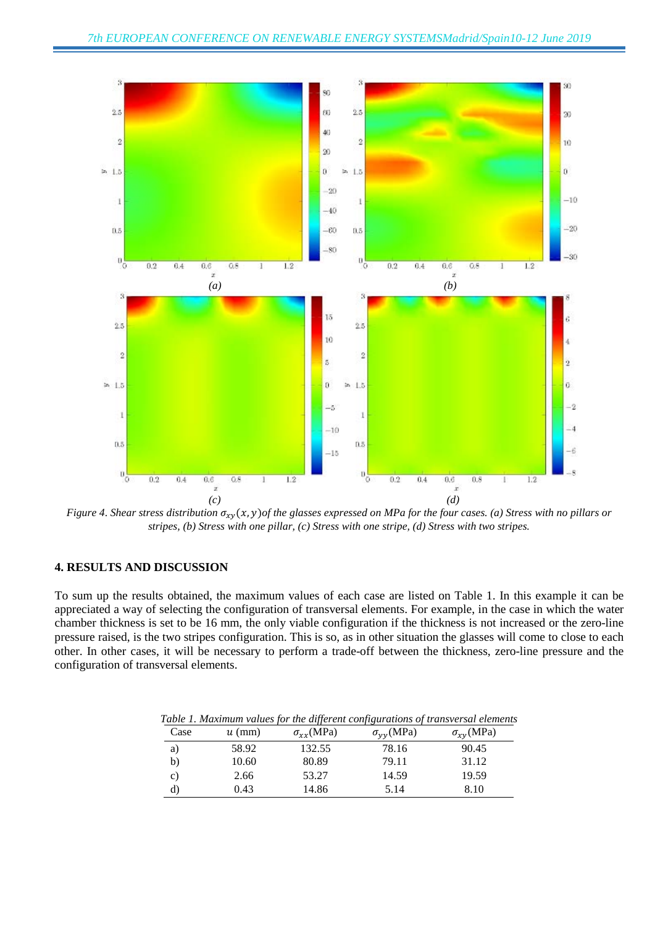

*Figure 4. Shear stress distribution*  $\sigma_{xy}(x, y)$  *of the glasses expressed on MPa for the four cases.* (a) *Stress with no pillars or stripes, (b) Stress with one pillar, (c) Stress with one stripe, (d) Stress with two stripes.*

#### **4. RESULTS AND DISCUSSION**

To sum up the results obtained, the maximum values of each case are listed on Table 1. In this example it can be appreciated a way of selecting the configuration of transversal elements. For example, in the case in which the water chamber thickness is set to be 16 mm, the only viable configuration if the thickness is not increased or the zero-line pressure raised, is the two stripes configuration. This is so, as in other situation the glasses will come to close to each other. In other cases, it will be necessary to perform a trade-off between the thickness, zero-line pressure and the configuration of transversal elements.

| Case         | $u$ (mm) | $\sigma_{rr}$ (MPa) | $\cdot$<br>$\sigma_{\nu\nu}$ (MPa) | $\sigma_{\chi\gamma}$ (MPa) |
|--------------|----------|---------------------|------------------------------------|-----------------------------|
| a)           | 58.92    | 132.55              | 78.16                              | 90.45                       |
| b)           | 10.60    | 80.89               | 79.11                              | 31.12                       |
| $\mathbf{C}$ | 2.66     | 53.27               | 14.59                              | 19.59                       |

d)  $0.43$  14.86 5.14 8.10

*Table 1. Maximum values for the different configurations of transversal elements*